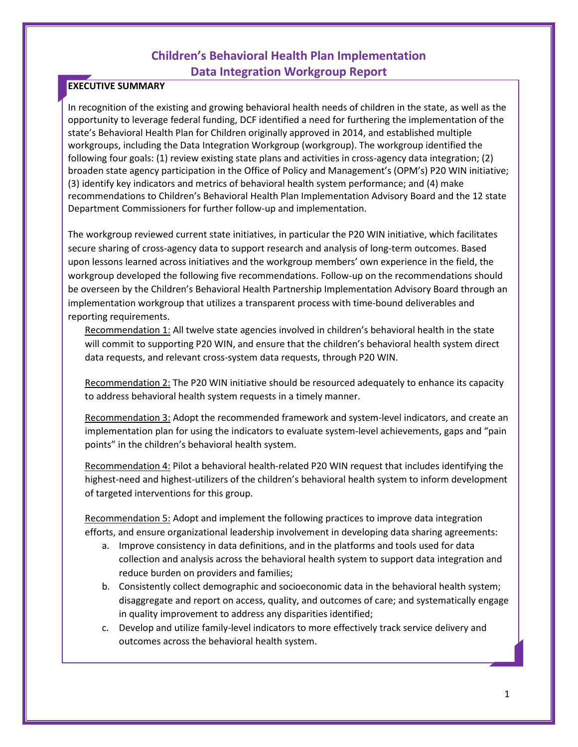# **Children's Behavioral Health Plan Implementation Data Integration Workgroup Report**

## **EXECUTIVE SUMMARY**

In recognition of the existing and growing behavioral health needs of children in the state, as well as the opportunity to leverage federal funding, DCF identified a need for furthering the implementation of the state's Behavioral Health Plan for Children originally approved in 2014, and established multiple workgroups, including the Data Integration Workgroup (workgroup). The workgroup identified the following four goals: (1) review existing state plans and activities in cross-agency data integration; (2) broaden state agency participation in the Office of Policy and Management's (OPM's) P20 WIN initiative; (3) identify key indicators and metrics of behavioral health system performance; and (4) make recommendations to Children's Behavioral Health Plan Implementation Advisory Board and the 12 state Department Commissioners for further follow-up and implementation.

The workgroup reviewed current state initiatives, in particular the P20 WIN initiative, which facilitates secure sharing of cross-agency data to support research and analysis of long-term outcomes. Based upon lessons learned across initiatives and the workgroup members' own experience in the field, the workgroup developed the following five recommendations. Follow-up on the recommendations should be overseen by the Children's Behavioral Health Partnership Implementation Advisory Board through an implementation workgroup that utilizes a transparent process with time-bound deliverables and reporting requirements.

Recommendation 1: All twelve state agencies involved in children's behavioral health in the state will commit to supporting P20 WIN, and ensure that the children's behavioral health system direct data requests, and relevant cross-system data requests, through P20 WIN.

Recommendation 2: The P20 WIN initiative should be resourced adequately to enhance its capacity to address behavioral health system requests in a timely manner.

Recommendation 3: Adopt the recommended framework and system-level indicators, and create an implementation plan for using the indicators to evaluate system-level achievements, gaps and "pain points" in the children's behavioral health system.

Recommendation 4: Pilot a behavioral health-related P20 WIN request that includes identifying the highest-need and highest-utilizers of the children's behavioral health system to inform development of targeted interventions for this group.

Recommendation 5: Adopt and implement the following practices to improve data integration efforts, and ensure organizational leadership involvement in developing data sharing agreements:

- a. Improve consistency in data definitions, and in the platforms and tools used for data collection and analysis across the behavioral health system to support data integration and reduce burden on providers and families;
- b. Consistently collect demographic and socioeconomic data in the behavioral health system; disaggregate and report on access, quality, and outcomes of care; and systematically engage in quality improvement to address any disparities identified;
- c. Develop and utilize family-level indicators to more effectively track service delivery and outcomes across the behavioral health system.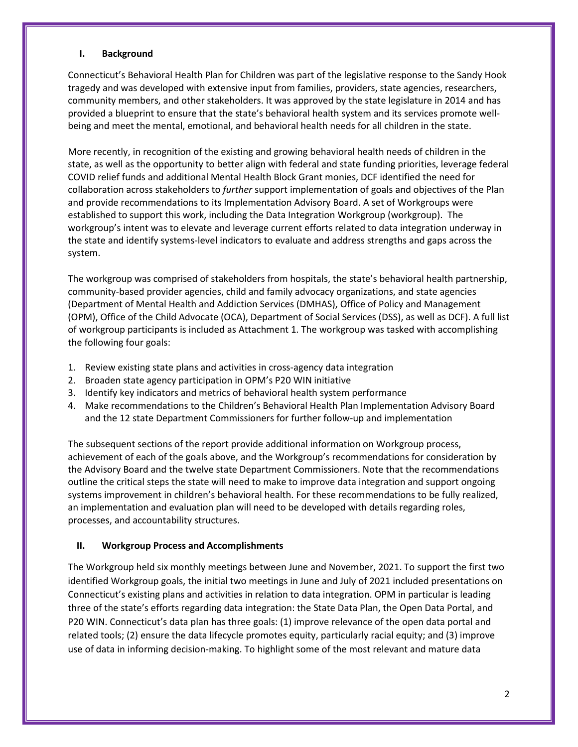#### **I. Background**

Connecticut's Behavioral Health Plan for Children was part of the legislative response to the Sandy Hook tragedy and was developed with extensive input from families, providers, state agencies, researchers, community members, and other stakeholders. It was approved by the state legislature in 2014 and has provided a blueprint to ensure that the state's behavioral health system and its services promote wellbeing and meet the mental, emotional, and behavioral health needs for all children in the state.

More recently, in recognition of the existing and growing behavioral health needs of children in the state, as well as the opportunity to better align with federal and state funding priorities, leverage federal COVID relief funds and additional Mental Health Block Grant monies, DCF identified the need for collaboration across stakeholders to *further* support implementation of goals and objectives of the Plan and provide recommendations to its Implementation Advisory Board. A set of Workgroups were established to support this work, including the Data Integration Workgroup (workgroup). The workgroup's intent was to elevate and leverage current efforts related to data integration underway in the state and identify systems-level indicators to evaluate and address strengths and gaps across the system.

The workgroup was comprised of stakeholders from hospitals, the state's behavioral health partnership, community-based provider agencies, child and family advocacy organizations, and state agencies (Department of Mental Health and Addiction Services (DMHAS), Office of Policy and Management (OPM), Office of the Child Advocate (OCA), Department of Social Services (DSS), as well as DCF). A full list of workgroup participants is included as Attachment 1. The workgroup was tasked with accomplishing the following four goals:

- 1. Review existing state plans and activities in cross-agency data integration
- 2. Broaden state agency participation in OPM's P20 WIN initiative
- 3. Identify key indicators and metrics of behavioral health system performance
- 4. Make recommendations to the Children's Behavioral Health Plan Implementation Advisory Board and the 12 state Department Commissioners for further follow-up and implementation

The subsequent sections of the report provide additional information on Workgroup process, achievement of each of the goals above, and the Workgroup's recommendations for consideration by the Advisory Board and the twelve state Department Commissioners. Note that the recommendations outline the critical steps the state will need to make to improve data integration and support ongoing systems improvement in children's behavioral health. For these recommendations to be fully realized, an implementation and evaluation plan will need to be developed with details regarding roles, processes, and accountability structures.

#### **II. Workgroup Process and Accomplishments**

The Workgroup held six monthly meetings between June and November, 2021. To support the first two identified Workgroup goals, the initial two meetings in June and July of 2021 included presentations on Connecticut's existing plans and activities in relation to data integration. OPM in particular is leading three of the state's efforts regarding data integration: the State Data Plan, the Open Data Portal, and P20 WIN. Connecticut's data plan has three goals: (1) improve relevance of the open data portal and related tools; (2) ensure the data lifecycle promotes equity, particularly racial equity; and (3) improve use of data in informing decision-making. To highlight some of the most relevant and mature data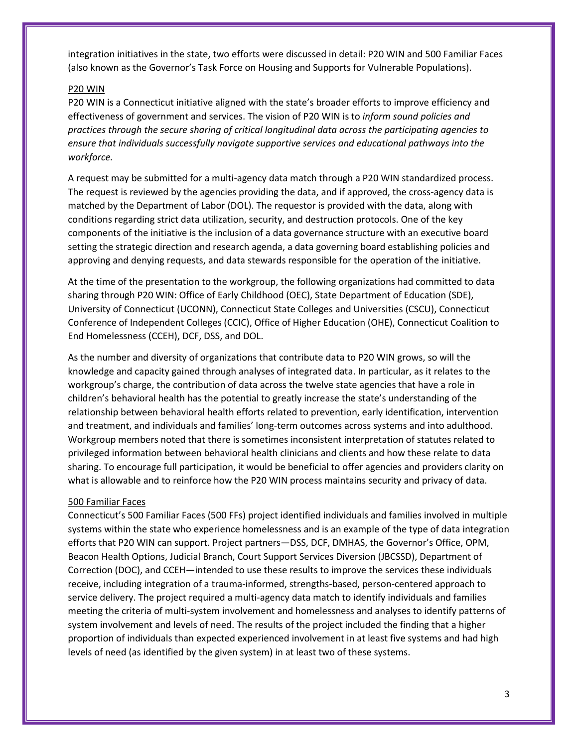integration initiatives in the state, two efforts were discussed in detail: P20 WIN and 500 Familiar Faces (also known as the Governor's Task Force on Housing and Supports for Vulnerable Populations).

## P20 WIN

P20 WIN is a Connecticut initiative aligned with the state's broader efforts to improve efficiency and effectiveness of government and services. The vision of P20 WIN is to *inform sound policies and practices through the secure sharing of critical longitudinal data across the participating agencies to ensure that individuals successfully navigate supportive services and educational pathways into the workforce.*

A request may be submitted for a multi-agency data match through a P20 WIN standardized process. The request is reviewed by the agencies providing the data, and if approved, the cross-agency data is matched by the Department of Labor (DOL). The requestor is provided with the data, along with conditions regarding strict data utilization, security, and destruction protocols. One of the key components of the initiative is the inclusion of a data governance structure with an executive board setting the strategic direction and research agenda, a data governing board establishing policies and approving and denying requests, and data stewards responsible for the operation of the initiative.

At the time of the presentation to the workgroup, the following organizations had committed to data sharing through P20 WIN: Office of Early Childhood (OEC), State Department of Education (SDE), University of Connecticut (UCONN), Connecticut State Colleges and Universities (CSCU), Connecticut Conference of Independent Colleges (CCIC), Office of Higher Education (OHE), Connecticut Coalition to End Homelessness (CCEH), DCF, DSS, and DOL.

As the number and diversity of organizations that contribute data to P20 WIN grows, so will the knowledge and capacity gained through analyses of integrated data. In particular, as it relates to the workgroup's charge, the contribution of data across the twelve state agencies that have a role in children's behavioral health has the potential to greatly increase the state's understanding of the relationship between behavioral health efforts related to prevention, early identification, intervention and treatment, and individuals and families' long-term outcomes across systems and into adulthood. Workgroup members noted that there is sometimes inconsistent interpretation of statutes related to privileged information between behavioral health clinicians and clients and how these relate to data sharing. To encourage full participation, it would be beneficial to offer agencies and providers clarity on what is allowable and to reinforce how the P20 WIN process maintains security and privacy of data.

#### 500 Familiar Faces

Connecticut's 500 Familiar Faces (500 FFs) project identified individuals and families involved in multiple systems within the state who experience homelessness and is an example of the type of data integration efforts that P20 WIN can support. Project partners—DSS, DCF, DMHAS, the Governor's Office, OPM, Beacon Health Options, Judicial Branch, Court Support Services Diversion (JBCSSD), Department of Correction (DOC), and CCEH—intended to use these results to improve the services these individuals receive, including integration of a trauma-informed, strengths-based, person-centered approach to service delivery. The project required a multi-agency data match to identify individuals and families meeting the criteria of multi-system involvement and homelessness and analyses to identify patterns of system involvement and levels of need. The results of the project included the finding that a higher proportion of individuals than expected experienced involvement in at least five systems and had high levels of need (as identified by the given system) in at least two of these systems.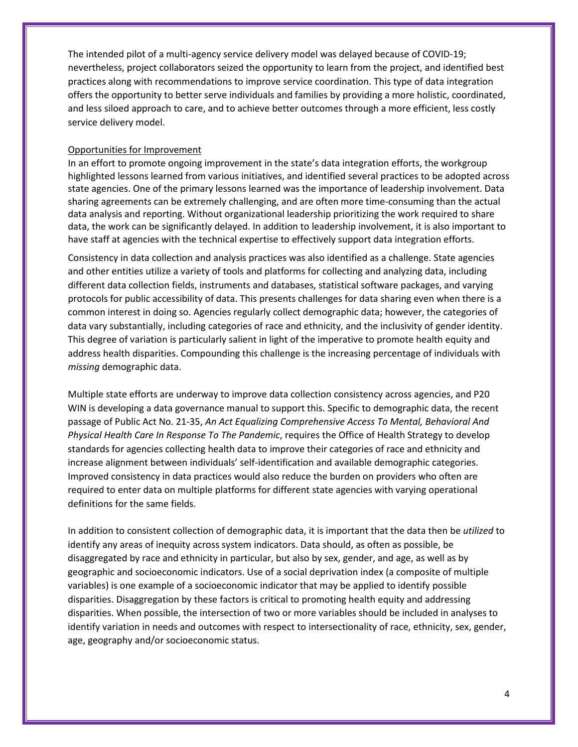The intended pilot of a multi-agency service delivery model was delayed because of COVID-19; nevertheless, project collaborators seized the opportunity to learn from the project, and identified best practices along with recommendations to improve service coordination. This type of data integration offers the opportunity to better serve individuals and families by providing a more holistic, coordinated, and less siloed approach to care, and to achieve better outcomes through a more efficient, less costly service delivery model.

#### Opportunities for Improvement

In an effort to promote ongoing improvement in the state's data integration efforts, the workgroup highlighted lessons learned from various initiatives, and identified several practices to be adopted across state agencies. One of the primary lessons learned was the importance of leadership involvement. Data sharing agreements can be extremely challenging, and are often more time-consuming than the actual data analysis and reporting. Without organizational leadership prioritizing the work required to share data, the work can be significantly delayed. In addition to leadership involvement, it is also important to have staff at agencies with the technical expertise to effectively support data integration efforts.

Consistency in data collection and analysis practices was also identified as a challenge. State agencies and other entities utilize a variety of tools and platforms for collecting and analyzing data, including different data collection fields, instruments and databases, statistical software packages, and varying protocols for public accessibility of data. This presents challenges for data sharing even when there is a common interest in doing so. Agencies regularly collect demographic data; however, the categories of data vary substantially, including categories of race and ethnicity, and the inclusivity of gender identity. This degree of variation is particularly salient in light of the imperative to promote health equity and address health disparities. Compounding this challenge is the increasing percentage of individuals with *missing* demographic data.

Multiple state efforts are underway to improve data collection consistency across agencies, and P20 WIN is developing a data governance manual to support this. Specific to demographic data, the recent passage of Public Act No. 21-35, *An Act Equalizing Comprehensive Access To Mental, Behavioral And Physical Health Care In Response To The Pandemic*, requires the Office of Health Strategy to develop standards for agencies collecting health data to improve their categories of race and ethnicity and increase alignment between individuals' self-identification and available demographic categories. Improved consistency in data practices would also reduce the burden on providers who often are required to enter data on multiple platforms for different state agencies with varying operational definitions for the same fields.

In addition to consistent collection of demographic data, it is important that the data then be *utilized* to identify any areas of inequity across system indicators. Data should, as often as possible, be disaggregated by race and ethnicity in particular, but also by sex, gender, and age, as well as by geographic and socioeconomic indicators. Use of a social deprivation index (a composite of multiple variables) is one example of a socioeconomic indicator that may be applied to identify possible disparities. Disaggregation by these factors is critical to promoting health equity and addressing disparities. When possible, the intersection of two or more variables should be included in analyses to identify variation in needs and outcomes with respect to intersectionality of race, ethnicity, sex, gender, age, geography and/or socioeconomic status.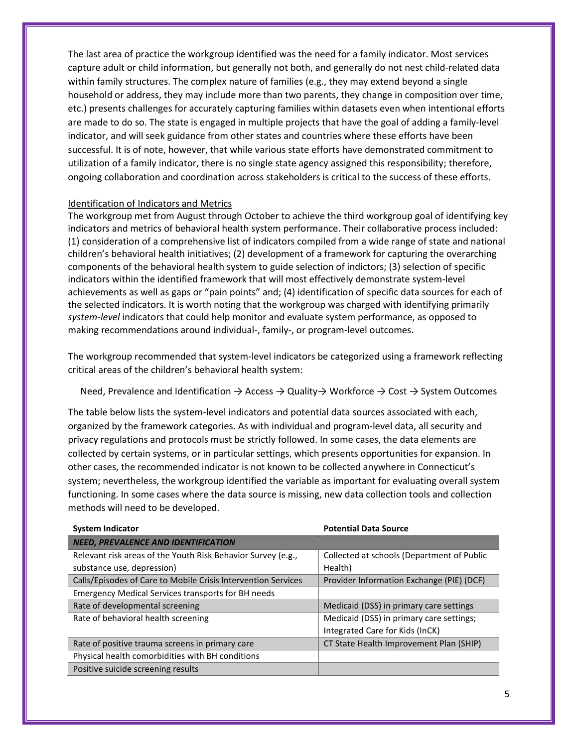The last area of practice the workgroup identified was the need for a family indicator. Most services capture adult or child information, but generally not both, and generally do not nest child-related data within family structures. The complex nature of families (e.g., they may extend beyond a single household or address, they may include more than two parents, they change in composition over time, etc.) presents challenges for accurately capturing families within datasets even when intentional efforts are made to do so. The state is engaged in multiple projects that have the goal of adding a family-level indicator, and will seek guidance from other states and countries where these efforts have been successful. It is of note, however, that while various state efforts have demonstrated commitment to utilization of a family indicator, there is no single state agency assigned this responsibility; therefore, ongoing collaboration and coordination across stakeholders is critical to the success of these efforts.

### Identification of Indicators and Metrics

The workgroup met from August through October to achieve the third workgroup goal of identifying key indicators and metrics of behavioral health system performance. Their collaborative process included: (1) consideration of a comprehensive list of indicators compiled from a wide range of state and national children's behavioral health initiatives; (2) development of a framework for capturing the overarching components of the behavioral health system to guide selection of indictors; (3) selection of specific indicators within the identified framework that will most effectively demonstrate system-level achievements as well as gaps or "pain points" and; (4) identification of specific data sources for each of the selected indicators. It is worth noting that the workgroup was charged with identifying primarily *system-level* indicators that could help monitor and evaluate system performance, as opposed to making recommendations around individual-, family-, or program-level outcomes.

The workgroup recommended that system-level indicators be categorized using a framework reflecting critical areas of the children's behavioral health system:

## Need, Prevalence and Identification → Access → Quality→ Workforce → Cost → System Outcomes

The table below lists the system-level indicators and potential data sources associated with each, organized by the framework categories. As with individual and program-level data, all security and privacy regulations and protocols must be strictly followed. In some cases, the data elements are collected by certain systems, or in particular settings, which presents opportunities for expansion. In other cases, the recommended indicator is not known to be collected anywhere in Connecticut's system; nevertheless, the workgroup identified the variable as important for evaluating overall system functioning. In some cases where the data source is missing, new data collection tools and collection methods will need to be developed.

| <b>System Indicator</b>                                       | <b>Potential Data Source</b>               |
|---------------------------------------------------------------|--------------------------------------------|
| <b>NEED, PREVALENCE AND IDENTIFICATION</b>                    |                                            |
| Relevant risk areas of the Youth Risk Behavior Survey (e.g.,  | Collected at schools (Department of Public |
| substance use, depression)                                    | Health)                                    |
| Calls/Episodes of Care to Mobile Crisis Intervention Services | Provider Information Exchange (PIE) (DCF)  |
| <b>Emergency Medical Services transports for BH needs</b>     |                                            |
| Rate of developmental screening                               | Medicaid (DSS) in primary care settings    |
| Rate of behavioral health screening                           | Medicaid (DSS) in primary care settings;   |
|                                                               | Integrated Care for Kids (InCK)            |
| Rate of positive trauma screens in primary care               | CT State Health Improvement Plan (SHIP)    |
| Physical health comorbidities with BH conditions              |                                            |
| Positive suicide screening results                            |                                            |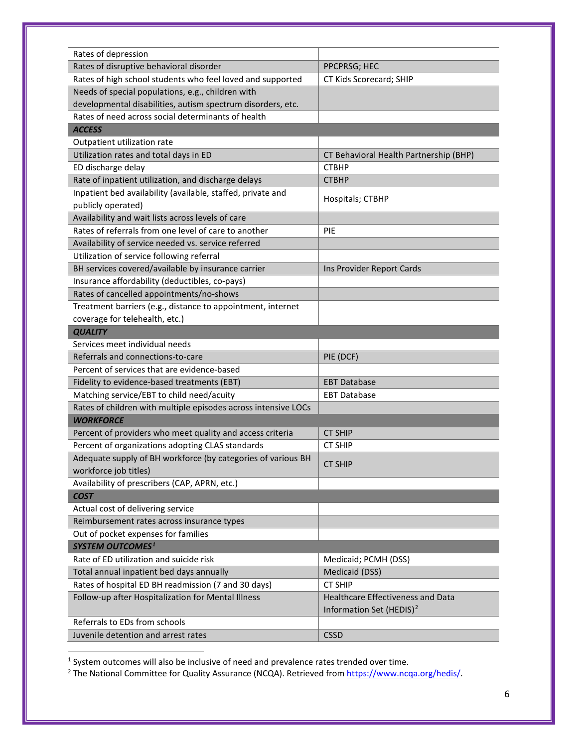| Rates of depression                                            |                                        |
|----------------------------------------------------------------|----------------------------------------|
| Rates of disruptive behavioral disorder                        | PPCPRSG; HEC                           |
| Rates of high school students who feel loved and supported     | CT Kids Scorecard; SHIP                |
| Needs of special populations, e.g., children with              |                                        |
| developmental disabilities, autism spectrum disorders, etc.    |                                        |
| Rates of need across social determinants of health             |                                        |
| <b>ACCESS</b>                                                  |                                        |
| Outpatient utilization rate                                    |                                        |
| Utilization rates and total days in ED                         | CT Behavioral Health Partnership (BHP) |
| ED discharge delay                                             | <b>CTBHP</b>                           |
| Rate of inpatient utilization, and discharge delays            | <b>CTBHP</b>                           |
| Inpatient bed availability (available, staffed, private and    | Hospitals; CTBHP                       |
| publicly operated)                                             |                                        |
| Availability and wait lists across levels of care              |                                        |
| Rates of referrals from one level of care to another           | <b>PIE</b>                             |
| Availability of service needed vs. service referred            |                                        |
| Utilization of service following referral                      |                                        |
| BH services covered/available by insurance carrier             | Ins Provider Report Cards              |
| Insurance affordability (deductibles, co-pays)                 |                                        |
| Rates of cancelled appointments/no-shows                       |                                        |
| Treatment barriers (e.g., distance to appointment, internet    |                                        |
| coverage for telehealth, etc.)                                 |                                        |
| <b>QUALITY</b>                                                 |                                        |
| Services meet individual needs                                 |                                        |
| Referrals and connections-to-care                              | PIE (DCF)                              |
| Percent of services that are evidence-based                    |                                        |
| Fidelity to evidence-based treatments (EBT)                    | <b>EBT Database</b>                    |
| Matching service/EBT to child need/acuity                      | <b>EBT Database</b>                    |
| Rates of children with multiple episodes across intensive LOCs |                                        |
| <b>WORKFORCE</b>                                               |                                        |
| Percent of providers who meet quality and access criteria      | <b>CT SHIP</b>                         |
| Percent of organizations adopting CLAS standards               | <b>CT SHIP</b>                         |
| Adequate supply of BH workforce (by categories of various BH   | <b>CT SHIP</b>                         |
| workforce job titles)                                          |                                        |
| Availability of prescribers (CAP, APRN, etc.)                  |                                        |
| <b>COST</b>                                                    |                                        |
| Actual cost of delivering service                              |                                        |
| Reimbursement rates across insurance types                     |                                        |
| Out of pocket expenses for families                            |                                        |
| <b>SYSTEM OUTCOMES1</b>                                        |                                        |
| Rate of ED utilization and suicide risk                        | Medicaid; PCMH (DSS)                   |
| Total annual inpatient bed days annually                       | Medicaid (DSS)                         |
| Rates of hospital ED BH readmission (7 and 30 days)            | <b>CT SHIP</b>                         |
| Follow-up after Hospitalization for Mental Illness             | Healthcare Effectiveness and Data      |
|                                                                | Information Set (HEDIS) <sup>2</sup>   |
| Referrals to EDs from schools                                  |                                        |
| Juvenile detention and arrest rates                            | <b>CSSD</b>                            |

1<br><sup>1</sup> System outcomes will also be inclusive of need and prevalence rates trended over time.

<span id="page-5-1"></span><span id="page-5-0"></span><sup>2</sup> The National Committee for Quality Assurance (NCQA). Retrieved fro[m https://www.ncqa.org/hedis/.](https://www.ncqa.org/hedis/)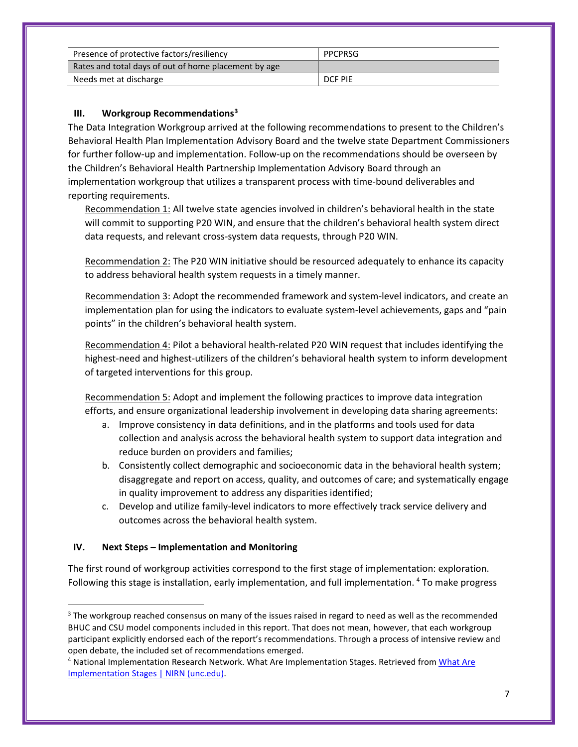| Presence of protective factors/resiliency            | PPCPRSG |
|------------------------------------------------------|---------|
| Rates and total days of out of home placement by age |         |
| Needs met at discharge                               | DCF PIE |

# **III. Workgroup Recommendations[3](#page-6-0)**

The Data Integration Workgroup arrived at the following recommendations to present to the Children's Behavioral Health Plan Implementation Advisory Board and the twelve state Department Commissioners for further follow-up and implementation. Follow-up on the recommendations should be overseen by the Children's Behavioral Health Partnership Implementation Advisory Board through an implementation workgroup that utilizes a transparent process with time-bound deliverables and reporting requirements.

Recommendation 1: All twelve state agencies involved in children's behavioral health in the state will commit to supporting P20 WIN, and ensure that the children's behavioral health system direct data requests, and relevant cross-system data requests, through P20 WIN.

Recommendation 2: The P20 WIN initiative should be resourced adequately to enhance its capacity to address behavioral health system requests in a timely manner.

Recommendation 3: Adopt the recommended framework and system-level indicators, and create an implementation plan for using the indicators to evaluate system-level achievements, gaps and "pain points" in the children's behavioral health system.

Recommendation 4: Pilot a behavioral health-related P20 WIN request that includes identifying the highest-need and highest-utilizers of the children's behavioral health system to inform development of targeted interventions for this group.

Recommendation 5: Adopt and implement the following practices to improve data integration efforts, and ensure organizational leadership involvement in developing data sharing agreements:

- a. Improve consistency in data definitions, and in the platforms and tools used for data collection and analysis across the behavioral health system to support data integration and reduce burden on providers and families;
- b. Consistently collect demographic and socioeconomic data in the behavioral health system; disaggregate and report on access, quality, and outcomes of care; and systematically engage in quality improvement to address any disparities identified;
- c. Develop and utilize family-level indicators to more effectively track service delivery and outcomes across the behavioral health system.

# **IV. Next Steps – Implementation and Monitoring**

The first round of workgroup activities correspond to the first stage of implementation: exploration. Following this stage is installation, early implementation, and full implementation. [4](#page-6-1) To make progress

<span id="page-6-0"></span><sup>&</sup>lt;sup>3</sup> The workgroup reached consensus on many of the issues raised in regard to need as well as the recommended BHUC and CSU model components included in this report. That does not mean, however, that each workgroup participant explicitly endorsed each of the report's recommendations. Through a process of intensive review and open debate, the included set of recommendations emerged.

<span id="page-6-1"></span><sup>4</sup> National Implementation Research Network. What Are Implementation Stages. Retrieved from [What Are](https://nirn.fpg.unc.edu/module-4/topic-1-implementation-stages-overview/what-are-stages)  [Implementation Stages | NIRN \(unc.edu\).](https://nirn.fpg.unc.edu/module-4/topic-1-implementation-stages-overview/what-are-stages)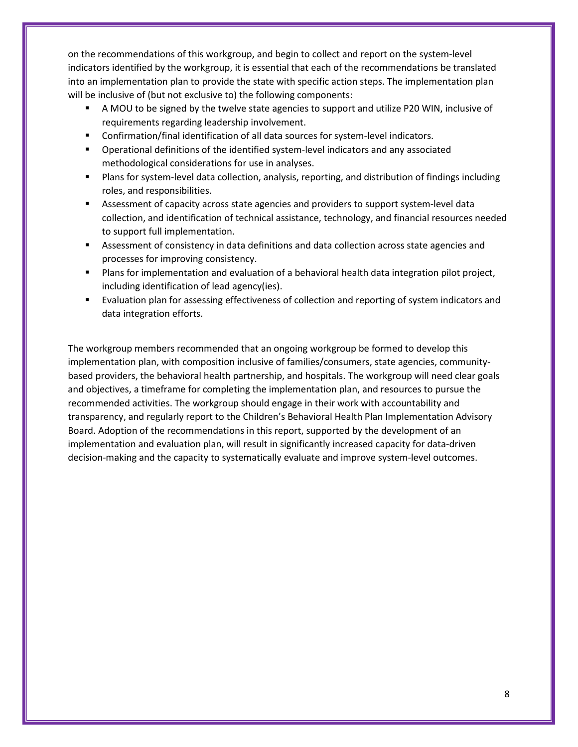on the recommendations of this workgroup, and begin to collect and report on the system-level indicators identified by the workgroup, it is essential that each of the recommendations be translated into an implementation plan to provide the state with specific action steps. The implementation plan will be inclusive of (but not exclusive to) the following components:

- A MOU to be signed by the twelve state agencies to support and utilize P20 WIN, inclusive of requirements regarding leadership involvement.
- Confirmation/final identification of all data sources for system-level indicators.
- Operational definitions of the identified system-level indicators and any associated methodological considerations for use in analyses.
- Plans for system-level data collection, analysis, reporting, and distribution of findings including roles, and responsibilities.
- **EXP** Assessment of capacity across state agencies and providers to support system-level data collection, and identification of technical assistance, technology, and financial resources needed to support full implementation.
- **EXECT** Assessment of consistency in data definitions and data collection across state agencies and processes for improving consistency.
- **Plans for implementation and evaluation of a behavioral health data integration pilot project,** including identification of lead agency(ies).
- Evaluation plan for assessing effectiveness of collection and reporting of system indicators and data integration efforts.

The workgroup members recommended that an ongoing workgroup be formed to develop this implementation plan, with composition inclusive of families/consumers, state agencies, communitybased providers, the behavioral health partnership, and hospitals. The workgroup will need clear goals and objectives, a timeframe for completing the implementation plan, and resources to pursue the recommended activities. The workgroup should engage in their work with accountability and transparency, and regularly report to the Children's Behavioral Health Plan Implementation Advisory Board. Adoption of the recommendations in this report, supported by the development of an implementation and evaluation plan, will result in significantly increased capacity for data-driven decision-making and the capacity to systematically evaluate and improve system-level outcomes.